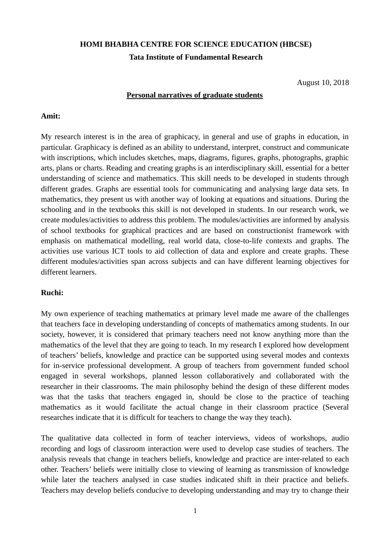# **HOMI BHABHA CENTRE FOR SCIENCE EDUCATION (HBCSE) Tata Institute of Fundamental Research**

August 10, 2018

#### **Personal narratives of graduate students**

#### **Amit:**

My research interest is in the area of graphicacy, in general and use of graphs in education, in particular. Graphicacy is defined as an ability to understand, interpret, construct and communicate with inscriptions, which includes sketches, maps, diagrams, figures, graphs, photographs, graphic arts, plans or charts. Reading and creating graphs is an interdisciplinary skill, essential for a better understanding of science and mathematics. This skill needs to be developed in students through different grades. Graphs are essential tools for communicating and analysing large data sets. In mathematics, they present us with another way of looking at equations and situations. During the schooling and in the textbooks this skill is not developed in students. In our research work, we create modules/activities to address this problem. The modules/activities are informed by analysis of school textbooks for graphical practices and are based on constructionist framework with emphasis on mathematical modelling, real world data, close-to-life contexts and graphs. The activities use various ICT tools to aid collection of data and explore and create graphs. These different modules/activities span across subjects and can have different learning objectives for different learners.

#### **Ruchi:**

My own experience of teaching mathematics at primary level made me aware of the challenges that teachers face in developing understanding of concepts of mathematics among students. In our society, however, it is considered that primary teachers need not know anything more than the mathematics of the level that they are going to teach. In my research I explored how development of teachers' beliefs, knowledge and practice can be supported using several modes and contexts for in-service professional development. A group of teachers from government funded school engaged in several workshops, planned lesson collaboratively and collaborated with the researcher in their classrooms. The main philosophy behind the design of these different modes was that the tasks that teachers engaged in, should be close to the practice of teaching mathematics as it would facilitate the actual change in their classroom practice (Several researches indicate that it is difficult for teachers to change the way they teach).

The qualitative data collected in form of teacher interviews, videos of workshops, audio recording and logs of classroom interaction were used to develop case studies of teachers. The analysis reveals that change in teachers beliefs, knowledge and practice are inter-related to each other. Teachers' beliefs were initially close to viewing of learning as transmission of knowledge while later the teachers analysed in case studies indicated shift in their practice and beliefs. Teachers may develop beliefs conducive to developing understanding and may try to change their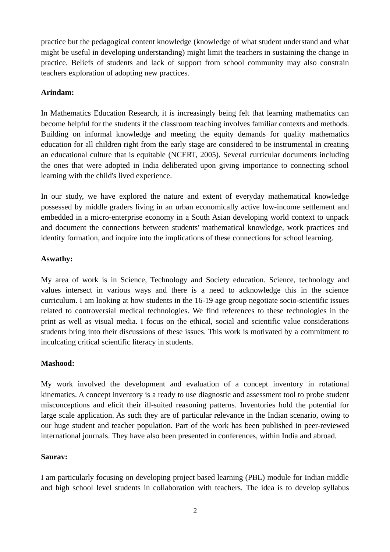practice but the pedagogical content knowledge (knowledge of what student understand and what might be useful in developing understanding) might limit the teachers in sustaining the change in practice. Beliefs of students and lack of support from school community may also constrain teachers exploration of adopting new practices.

# **Arindam:**

In Mathematics Education Research, it is increasingly being felt that learning mathematics can become helpful for the students if the classroom teaching involves familiar contexts and methods. Building on informal knowledge and meeting the equity demands for quality mathematics education for all children right from the early stage are considered to be instrumental in creating an educational culture that is equitable (NCERT, 2005). Several curricular documents including the ones that were adopted in India deliberated upon giving importance to connecting school learning with the child's lived experience.

In our study, we have explored the nature and extent of everyday mathematical knowledge possessed by middle graders living in an urban economically active low-income settlement and embedded in a micro-enterprise economy in a South Asian developing world context to unpack and document the connections between students' mathematical knowledge, work practices and identity formation, and inquire into the implications of these connections for school learning.

### **Aswathy:**

My area of work is in Science, Technology and Society education. Science, technology and values intersect in various ways and there is a need to acknowledge this in the science curriculum. I am looking at how students in the 16-19 age group negotiate socio-scientific issues related to controversial medical technologies. We find references to these technologies in the print as well as visual media. I focus on the ethical, social and scientific value considerations students bring into their discussions of these issues. This work is motivated by a commitment to inculcating critical scientific literacy in students.

### **Mashood:**

My work involved the development and evaluation of a concept inventory in rotational kinematics. A concept inventory is a ready to use diagnostic and assessment tool to probe student misconceptions and elicit their ill-suited reasoning patterns. Inventories hold the potential for large scale application. As such they are of particular relevance in the Indian scenario, owing to our huge student and teacher population. Part of the work has been published in peer-reviewed international journals. They have also been presented in conferences, within India and abroad.

### **Saurav:**

I am particularly focusing on developing project based learning (PBL) module for Indian middle and high school level students in collaboration with teachers. The idea is to develop syllabus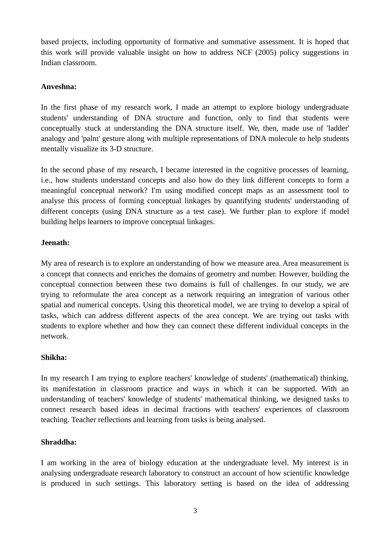based projects, including opportunity of formative and summative assessment. It is hoped that this work will provide valuable insight on how to address NCF (2005) policy suggestions in Indian classroom.

# **Anveshna:**

In the first phase of my research work, I made an attempt to explore biology undergraduate students' understanding of DNA structure and function, only to find that students were conceptually stuck at understanding the DNA structure itself. We, then, made use of 'ladder' analogy and 'palm' gesture along with multiple representations of DNA molecule to help students mentally visualize its 3-D structure.

In the second phase of my research, I became interested in the cognitive processes of learning, i.e., how students understand concepts and also how do they link different concepts to form a meaningful conceptual network? I'm using modified concept maps as an assessment tool to analyse this process of forming conceptual linkages by quantifying students' understanding of different concepts (using DNA structure as a test case). We further plan to explore if model building helps learners to improve conceptual linkages.

### **Jeenath:**

My area of research is to explore an understanding of how we measure area. Area measurement is a concept that connects and enriches the domains of geometry and number. However, building the conceptual connection between these two domains is full of challenges. In our study, we are trying to reformulate the area concept as a network requiring an integration of various other spatial and numerical concepts. Using this theoretical model, we are trying to develop a spiral of tasks, which can address different aspects of the area concept. We are trying out tasks with students to explore whether and how they can connect these different individual concepts in the network.

### **Shikha:**

In my research I am trying to explore teachers' knowledge of students' (mathematical) thinking, its manifestation in classroom practice and ways in which it can be supported. With an understanding of teachers' knowledge of students' mathematical thinking, we designed tasks to connect research based ideas in decimal fractions with teachers' experiences of classroom teaching. Teacher reflections and learning from tasks is being analysed.

### **Shraddha:**

I am working in the area of biology education at the undergraduate level. My interest is in analysing undergraduate research laboratory to construct an account of how scientific knowledge is produced in such settings. This laboratory setting is based on the idea of addressing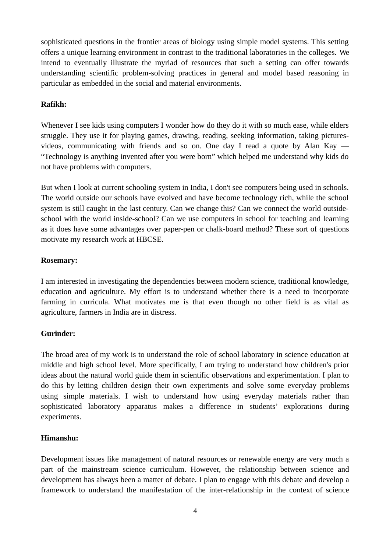sophisticated questions in the frontier areas of biology using simple model systems. This setting offers a unique learning environment in contrast to the traditional laboratories in the colleges. We intend to eventually illustrate the myriad of resources that such a setting can offer towards understanding scientific problem-solving practices in general and model based reasoning in particular as embedded in the social and material environments.

# **Rafikh:**

Whenever I see kids using computers I wonder how do they do it with so much ease, while elders struggle. They use it for playing games, drawing, reading, seeking information, taking picturesvideos, communicating with friends and so on. One day I read a quote by Alan Kay — "Technology is anything invented after you were born" which helped me understand why kids do not have problems with computers.

But when I look at current schooling system in India, I don't see computers being used in schools. The world outside our schools have evolved and have become technology rich, while the school system is still caught in the last century. Can we change this? Can we connect the world outsideschool with the world inside-school? Can we use computers in school for teaching and learning as it does have some advantages over paper-pen or chalk-board method? These sort of questions motivate my research work at HBCSE.

### **Rosemary:**

I am interested in investigating the dependencies between modern science, traditional knowledge, education and agriculture. My effort is to understand whether there is a need to incorporate farming in curricula. What motivates me is that even though no other field is as vital as agriculture, farmers in India are in distress.

# **Gurinder:**

The broad area of my work is to understand the role of school laboratory in science education at middle and high school level. More specifically, I am trying to understand how children's prior ideas about the natural world guide them in scientific observations and experimentation. I plan to do this by letting children design their own experiments and solve some everyday problems using simple materials. I wish to understand how using everyday materials rather than sophisticated laboratory apparatus makes a difference in students' explorations during experiments.

### **Himanshu:**

Development issues like management of natural resources or renewable energy are very much a part of the mainstream science curriculum. However, the relationship between science and development has always been a matter of debate. I plan to engage with this debate and develop a framework to understand the manifestation of the inter-relationship in the context of science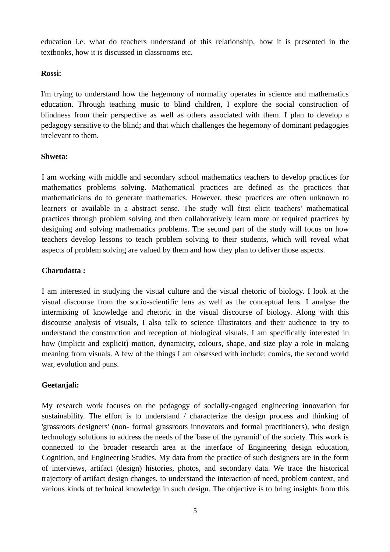education i.e. what do teachers understand of this relationship, how it is presented in the textbooks, how it is discussed in classrooms etc.

#### **Rossi:**

I'm trying to understand how the hegemony of normality operates in science and mathematics education. Through teaching music to blind children, I explore the social construction of blindness from their perspective as well as others associated with them. I plan to develop a pedagogy sensitive to the blind; and that which challenges the hegemony of dominant pedagogies irrelevant to them.

### **Shweta:**

I am working with middle and secondary school mathematics teachers to develop practices for mathematics problems solving. Mathematical practices are defined as the practices that mathematicians do to generate mathematics. However, these practices are often unknown to learners or available in a abstract sense. The study will first elicit teachers' mathematical practices through problem solving and then collaboratively learn more or required practices by designing and solving mathematics problems. The second part of the study will focus on how teachers develop lessons to teach problem solving to their students, which will reveal what aspects of problem solving are valued by them and how they plan to deliver those aspects.

### **Charudatta :**

I am interested in studying the visual culture and the visual rhetoric of biology. I look at the visual discourse from the socio-scientific lens as well as the conceptual lens. I analyse the intermixing of knowledge and rhetoric in the visual discourse of biology. Along with this discourse analysis of visuals, I also talk to science illustrators and their audience to try to understand the construction and reception of biological visuals. I am specifically interested in how (implicit and explicit) motion, dynamicity, colours, shape, and size play a role in making meaning from visuals. A few of the things I am obsessed with include: comics, the second world war, evolution and puns.

### **Geetanjali:**

My research work focuses on the pedagogy of socially-engaged engineering innovation for sustainability. The effort is to understand / characterize the design process and thinking of 'grassroots designers' (non- formal grassroots innovators and formal practitioners), who design technology solutions to address the needs of the 'base of the pyramid' of the society. This work is connected to the broader research area at the interface of Engineering design education, Cognition, and Engineering Studies. My data from the practice of such designers are in the form of interviews, artifact (design) histories, photos, and secondary data. We trace the historical trajectory of artifact design changes, to understand the interaction of need, problem context, and various kinds of technical knowledge in such design. The objective is to bring insights from this